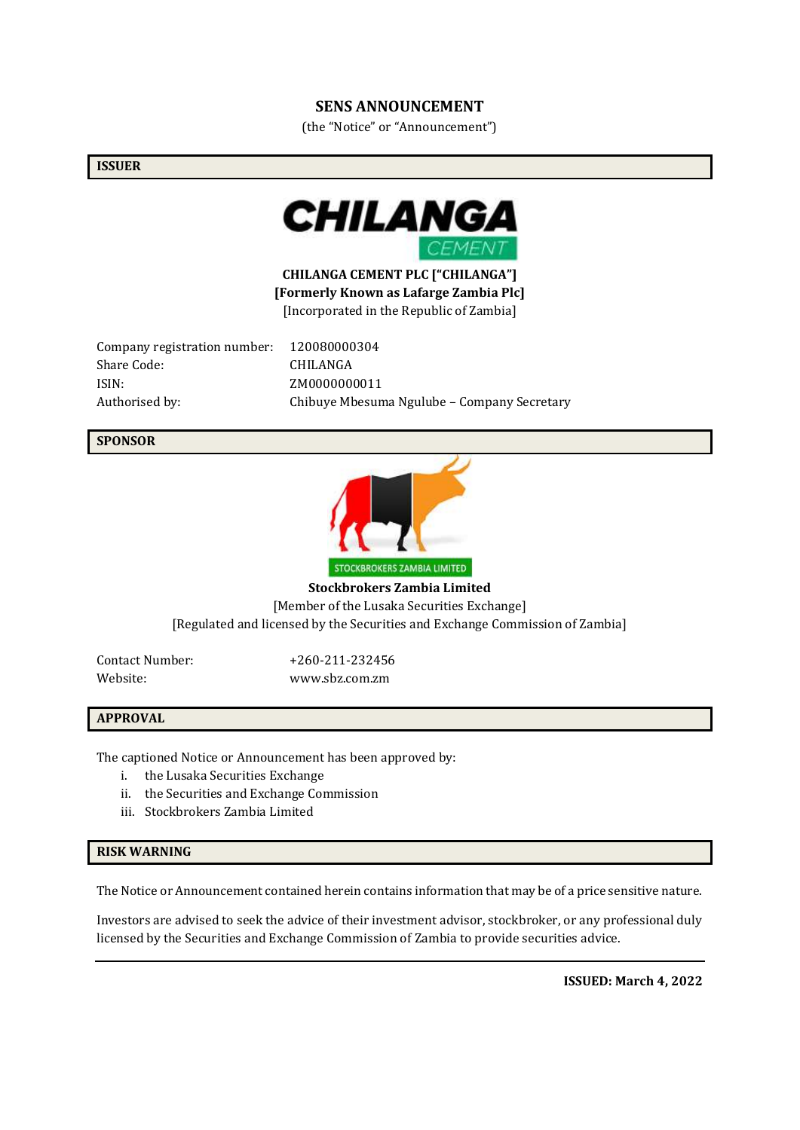### **SENS ANNOUNCEMENT**

(the "Notice" or "Announcement")

#### **ISSUER**



**CHILANGA CEMENT PLC ["CHILANGA"] [Formerly Known as Lafarge Zambia Plc]** [Incorporated in the Republic of Zambia]

Company registration number: 120080000304 Share Code: CHILANGA ISIN: ZM0000000011

Authorised by: Chibuye Mbesuma Ngulube – Company Secretary

#### **SPONSOR**



**Stockbrokers Zambia Limited** [Member of the Lusaka Securities Exchange] [Regulated and licensed by the Securities and Exchange Commission of Zambia]

Contact Number: +260-211-232456

Website: www.sbz.com.zm

#### **APPROVAL**

The captioned Notice or Announcement has been approved by:

- i. the Lusaka Securities Exchange
- ii. the Securities and Exchange Commission
- iii. Stockbrokers Zambia Limited

#### **RISK WARNING**

The Notice or Announcement contained herein contains information that may be of a price sensitive nature.

Investors are advised to seek the advice of their investment advisor, stockbroker, or any professional duly licensed by the Securities and Exchange Commission of Zambia to provide securities advice.

**ISSUED: March 4, 2022**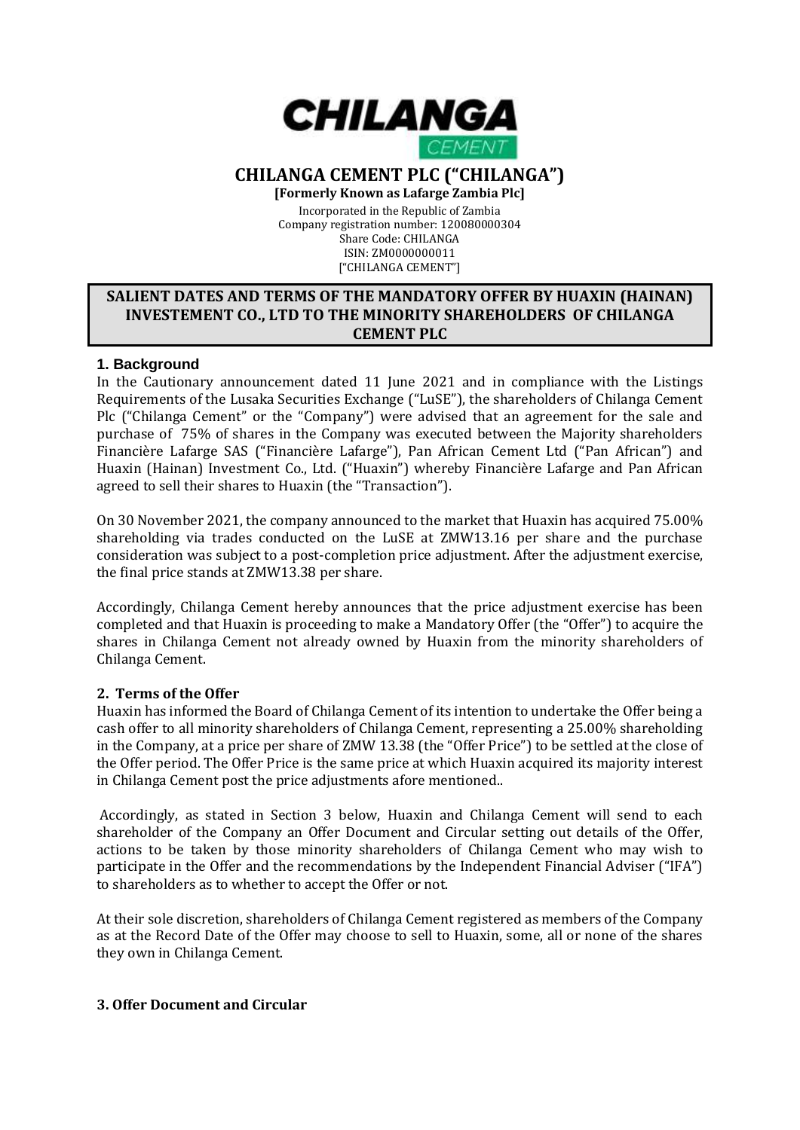

# **CHILANGA CEMENT PLC ("CHILANGA")**

**[Formerly Known as Lafarge Zambia Plc]** Incorporated in the Republic of Zambia Company registration number: 120080000304 Share Code: CHILANGA ISIN: ZM0000000011

### ["CHILANGA CEMENT"]

# **SALIENT DATES AND TERMS OF THE MANDATORY OFFER BY HUAXIN (HAINAN) INVESTEMENT CO., LTD TO THE MINORITY SHAREHOLDERS OF CHILANGA CEMENT PLC**

# **1. Background**

In the Cautionary announcement dated 11 June 2021 and in compliance with the Listings Requirements of the Lusaka Securities Exchange ("LuSE"), the shareholders of Chilanga Cement Plc ("Chilanga Cement" or the "Company") were advised that an agreement for the sale and purchase of 75% of shares in the Company was executed between the Majority shareholders Financière Lafarge SAS ("Financière Lafarge"), Pan African Cement Ltd ("Pan African") and Huaxin (Hainan) Investment Co., Ltd. ("Huaxin") whereby Financière Lafarge and Pan African agreed to sell their shares to Huaxin (the "Transaction").

On 30 November 2021, the company announced to the market that Huaxin has acquired 75.00% shareholding via trades conducted on the LuSE at ZMW13.16 per share and the purchase consideration was subject to a post-completion price adjustment. After the adjustment exercise, the final price stands at ZMW13.38 per share.

Accordingly, Chilanga Cement hereby announces that the price adjustment exercise has been completed and that Huaxin is proceeding to make a Mandatory Offer (the "Offer") to acquire the shares in Chilanga Cement not already owned by Huaxin from the minority shareholders of Chilanga Cement.

# **2. Terms of the Offer**

Huaxin has informed the Board of Chilanga Cement of its intention to undertake the Offer being a cash offer to all minority shareholders of Chilanga Cement, representing a 25.00% shareholding in the Company, at a price per share of ZMW 13.38 (the "Offer Price") to be settled at the close of the Offer period. The Offer Price is the same price at which Huaxin acquired its majority interest in Chilanga Cement post the price adjustments afore mentioned..

Accordingly, as stated in Section 3 below, Huaxin and Chilanga Cement will send to each shareholder of the Company an Offer Document and Circular setting out details of the Offer, actions to be taken by those minority shareholders of Chilanga Cement who may wish to participate in the Offer and the recommendations by the Independent Financial Adviser ("IFA") to shareholders as to whether to accept the Offer or not.

At their sole discretion, shareholders of Chilanga Cement registered as members of the Company as at the Record Date of the Offer may choose to sell to Huaxin, some, all or none of the shares they own in Chilanga Cement.

# **3. Offer Document and Circular**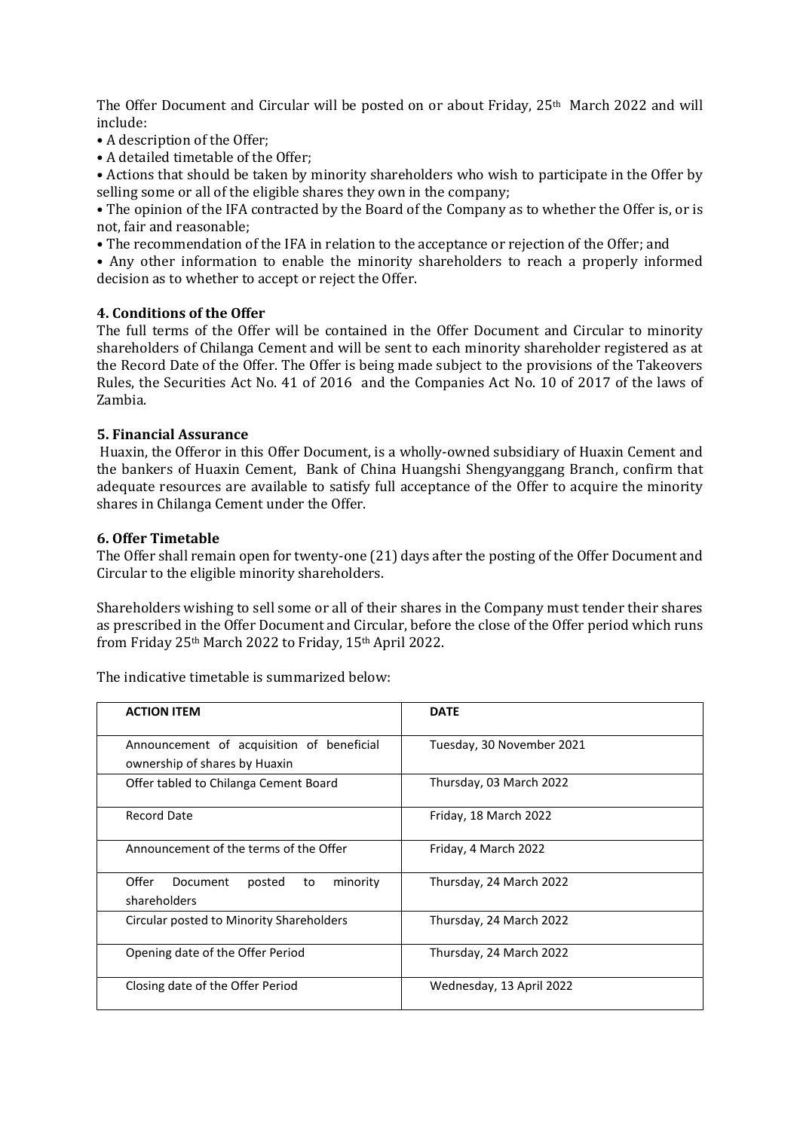The Offer Document and Circular will be posted on or about Friday,  $25<sup>th</sup>$  March 2022 and will include:

- A description of the Offer;
- A detailed timetable of the Offer;

• Actions that should be taken by minority shareholders who wish to participate in the Offer by selling some or all of the eligible shares they own in the company;

• The opinion of the IFA contracted by the Board of the Company as to whether the Offer is, or is not, fair and reasonable;

• The recommendation of the IFA in relation to the acceptance or rejection of the Offer; and

• Any other information to enable the minority shareholders to reach a properly informed decision as to whether to accept or reject the Offer.

### **4. Conditions of the Offer**

The full terms of the Offer will be contained in the Offer Document and Circular to minority shareholders of Chilanga Cement and will be sent to each minority shareholder registered as at the Record Date of the Offer. The Offer is being made subject to the provisions of the Takeovers Rules, the Securities Act No. 41 of 2016 and the Companies Act No. 10 of 2017 of the laws of Zambia.

### **5. Financial Assurance**

Huaxin, the Offeror in this Offer Document, is a wholly-owned subsidiary of Huaxin Cement and the bankers of Huaxin Cement, Bank of China Huangshi Shengyanggang Branch, confirm that adequate resources are available to satisfy full acceptance of the Offer to acquire the minority shares in Chilanga Cement under the Offer.

### **6. Offer Timetable**

The Offer shall remain open for twenty-one (21) days after the posting of the Offer Document and Circular to the eligible minority shareholders.

Shareholders wishing to sell some or all of their shares in the Company must tender their shares as prescribed in the Offer Document and Circular, before the close of the Offer period which runs from Friday 25th March 2022 to Friday, 15th April 2022.

The indicative timetable is summarized below:

| <b>ACTION ITEM</b>                                                         | <b>DATE</b>               |
|----------------------------------------------------------------------------|---------------------------|
| Announcement of acquisition of beneficial<br>ownership of shares by Huaxin | Tuesday, 30 November 2021 |
| Offer tabled to Chilanga Cement Board                                      | Thursday, 03 March 2022   |
| Record Date                                                                | Friday, 18 March 2022     |
| Announcement of the terms of the Offer                                     | Friday, 4 March 2022      |
| Offer<br>Document<br>minority<br>posted<br>to<br>shareholders              | Thursday, 24 March 2022   |
| Circular posted to Minority Shareholders                                   | Thursday, 24 March 2022   |
| Opening date of the Offer Period                                           | Thursday, 24 March 2022   |
| Closing date of the Offer Period                                           | Wednesday, 13 April 2022  |